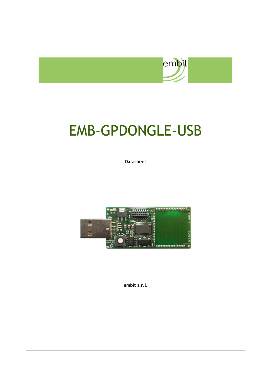

# EMB-GPDONGLE-USB

**Datasheet**



**embit s.r.l.**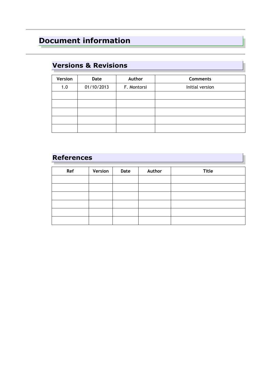# **Document information**

#### **Versions & Revisions**

| Version | Date       | Author      | <b>Comments</b> |
|---------|------------|-------------|-----------------|
| 1.0     | 01/10/2013 | F. Montorsi | Initial version |
|         |            |             |                 |
|         |            |             |                 |
|         |            |             |                 |
|         |            |             |                 |
|         |            |             |                 |

#### **References**

| Ref | Version | Date | Author | <b>Title</b> |
|-----|---------|------|--------|--------------|
|     |         |      |        |              |
|     |         |      |        |              |
|     |         |      |        |              |
|     |         |      |        |              |
|     |         |      |        |              |
|     |         |      |        |              |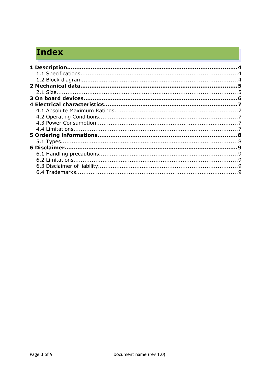# **Index**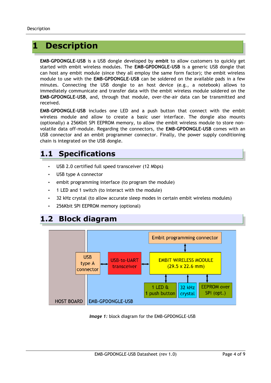## <span id="page-3-0"></span>**1 Description**

**EMB-GPDONGLE-USB** is a USB dongle developed by **embit** to allow customers to quickly get started with embit wireless modules. The **EMB-GPDONGLE-USB** is a generic USB dongle that can host any embit module (since they all employ the same form factor); the embit wireless module to use with the **EMB-GPDONGLE-USB** can be soldered on the available pads in a few minutes. Connecting the USB dongle to an host device (e.g., a notebook) allows to immediately communicate and transfer data with the embit wireless module soldered on the **EMB-GPDONGLE-USB**, and, through that module, over-the-air data can be transmitted and received.

**EMB-GPDONGLE-USB** includes one LED and a push button that connect with the embit wireless module and allow to create a basic user interface. The dongle also mounts (optionally) a 256Kbit SPI EEPROM memory, to allow the embit wireless module to store nonvolatile data off-module. Regarding the connectors, the **EMB-GPDONGLE-USB** comes with an USB connector and an embit programmer connector. Finally, the power supply conditioning chain is integrated on the USB dongle.

#### <span id="page-3-1"></span>**1.1 Specifications**

- USB 2.0 certified full speed transceiver (12 Mbps)
- USB type A connector
- embit programming interface (to program the module)
- 1 LED and 1 switch (to interact with the module)
- 32 kHz crystal (to allow accurate sleep modes in certain embit wireless modules)
- <span id="page-3-2"></span>• 256Kbit SPI EEPROM memory (optional)

# **1.2 Block diagram**



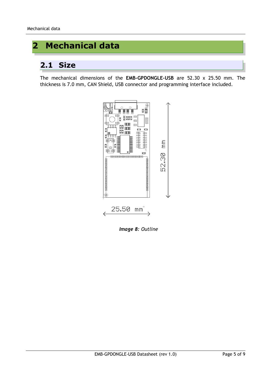# <span id="page-4-0"></span>**2 Mechanical data**

#### <span id="page-4-1"></span>**2.1 Size**

The mechanical dimensions of the **EMB-GPDONGLE-USB** are 52.30 x 25.50 mm. The thickness is 7.0 mm, CAN Shield, USB connector and programming interface included.



*Image 8: Outline*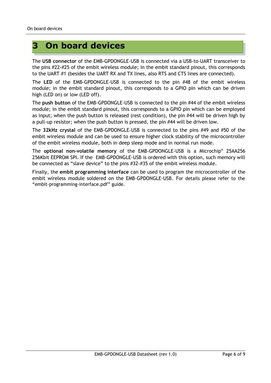# <span id="page-5-0"></span>**3 On board devices**

The **USB connector** of the EMB-GPDONGLE-USB is connected via a USB-to-UART transceiver to the pins #22-#25 of the embit wireless module; in the embit standard pinout, this corresponds to the UART #1 (besides the UART RX and TX lines, also RTS and CTS lines are connected).

The **LED** of the EMB-GPDONGLE-USB is connected to the pin #48 of the embit wireless module; in the embit standard pinout, this corresponds to a GPIO pin which can be driven high (LED on) or low (LED off).

The **push button** of the EMB-GPDONGLE-USB is connected to the pin #44 of the embit wireless module; in the embit standard pinout, this corresponds to a GPIO pin which can be employed as input; when the push button is released (rest condition), the pin #44 will be driven high by a pull-up resistor; when the push button is pressed, the pin #44 will be driven low.

The **32kHz crystal** of the EMB-GPDONGLE-USB is connected to the pins #49 and #50 of the embit wireless module and can be used to ensure higher clock stability of the microcontroller of the embit wireless module, both in deep sleep mode and in normal run mode.

The **optional non-volatile memory** of the EMB-GPDONGLE-USB is a Microchip® 25AA256 256Kbit EEPROM SPI. If the EMB-GPDONGLE-USB is ordered with this option, such memory will be connected as "slave device" to the pins #32-#35 of the embit wireless module.

Finally, the **embit programming interface** can be used to program the microcontroller of the embit wireless module soldered on the EMB-GPDONGLE-USB. For details please refer to the "embit-programming-interface.pdf" guide.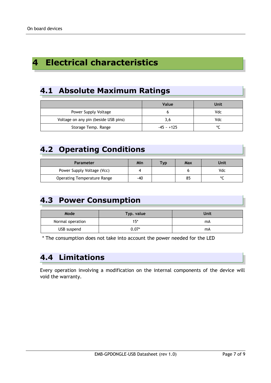## <span id="page-6-0"></span>**4 Electrical characteristics**

#### <span id="page-6-1"></span>**4.1 Absolute Maximum Ratings**

|                                      | Value        | Unit |
|--------------------------------------|--------------|------|
| Power Supply Voltage                 |              | Vdc  |
| Voltage on any pin (beside USB pins) | 3,6          | Vdc  |
| Storage Temp. Range                  | $-45 - +125$ | ٥Γ   |

#### <span id="page-6-2"></span>**4.2 Operating Conditions**

| Parameter                          | Min | <b>Tvp</b> | Max | Unit |
|------------------------------------|-----|------------|-----|------|
| Power Supply Voltage (Vcc)         |     |            |     | Vdc  |
| <b>Operating Temperature Range</b> | -40 |            | 85  |      |

#### <span id="page-6-3"></span>**4.3 Power Consumption**

| Mode             | Typ. value | Unit |
|------------------|------------|------|
| Normal operation | $15*$      | mA   |
| USB suspend      | $0.07^{*}$ | mA   |

\* The consumption does not take into account the power needed for the LED

#### <span id="page-6-4"></span>**4.4 Limitations**

Every operation involving a modification on the internal components of the device will void the warranty.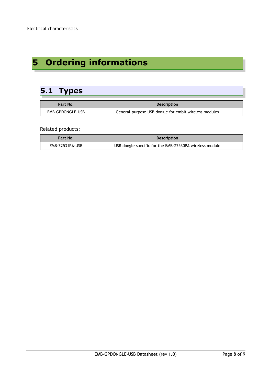# <span id="page-7-0"></span>**5 Ordering informations**

## <span id="page-7-1"></span>**5.1 Types**

| Part No.         | <b>Description</b>                                    |
|------------------|-------------------------------------------------------|
| EMB-GPDONGLE-USB | General-purpose USB dongle for embit wireless modules |

Related products:

| Part No.        | <b>Description</b>                                      |
|-----------------|---------------------------------------------------------|
| EMB-Z2531PA-USB | USB dongle specific for the EMB-Z2530PA wireless module |